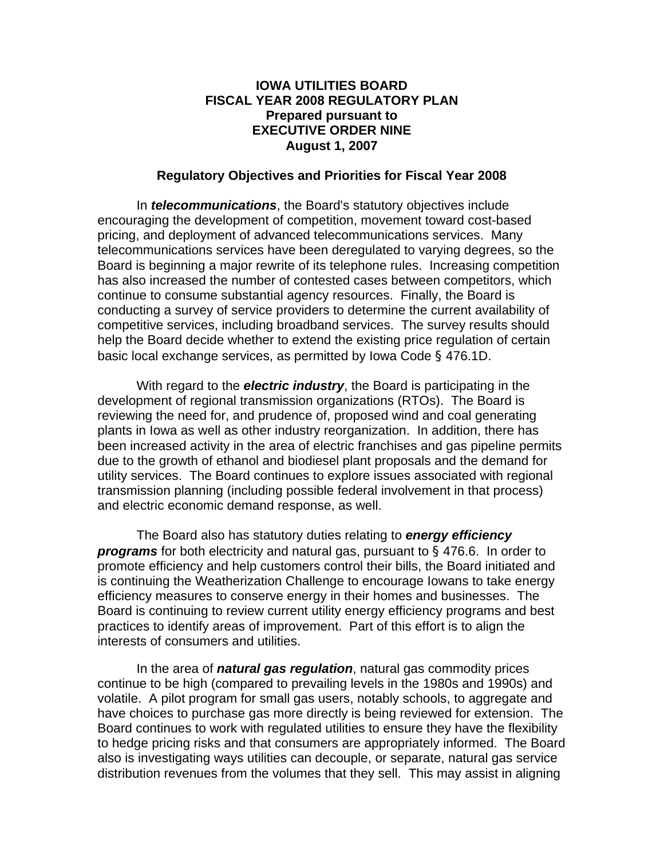## **IOWA UTILITIES BOARD FISCAL YEAR 2008 REGULATORY PLAN Prepared pursuant to EXECUTIVE ORDER NINE August 1, 2007**

## **Regulatory Objectives and Priorities for Fiscal Year 2008**

In *telecommunications*, the Board's statutory objectives include encouraging the development of competition, movement toward cost-based pricing, and deployment of advanced telecommunications services. Many telecommunications services have been deregulated to varying degrees, so the Board is beginning a major rewrite of its telephone rules. Increasing competition has also increased the number of contested cases between competitors, which continue to consume substantial agency resources. Finally, the Board is conducting a survey of service providers to determine the current availability of competitive services, including broadband services. The survey results should help the Board decide whether to extend the existing price regulation of certain basic local exchange services, as permitted by Iowa Code § 476.1D.

With regard to the *electric industry*, the Board is participating in the development of regional transmission organizations (RTOs). The Board is reviewing the need for, and prudence of, proposed wind and coal generating plants in Iowa as well as other industry reorganization. In addition, there has been increased activity in the area of electric franchises and gas pipeline permits due to the growth of ethanol and biodiesel plant proposals and the demand for utility services. The Board continues to explore issues associated with regional transmission planning (including possible federal involvement in that process) and electric economic demand response, as well.

The Board also has statutory duties relating to *energy efficiency programs* for both electricity and natural gas, pursuant to § 476.6. In order to promote efficiency and help customers control their bills, the Board initiated and is continuing the Weatherization Challenge to encourage Iowans to take energy efficiency measures to conserve energy in their homes and businesses. The Board is continuing to review current utility energy efficiency programs and best practices to identify areas of improvement. Part of this effort is to align the interests of consumers and utilities.

 In the area of *natural gas regulation*, natural gas commodity prices continue to be high (compared to prevailing levels in the 1980s and 1990s) and volatile. A pilot program for small gas users, notably schools, to aggregate and have choices to purchase gas more directly is being reviewed for extension. The Board continues to work with regulated utilities to ensure they have the flexibility to hedge pricing risks and that consumers are appropriately informed. The Board also is investigating ways utilities can decouple, or separate, natural gas service distribution revenues from the volumes that they sell. This may assist in aligning